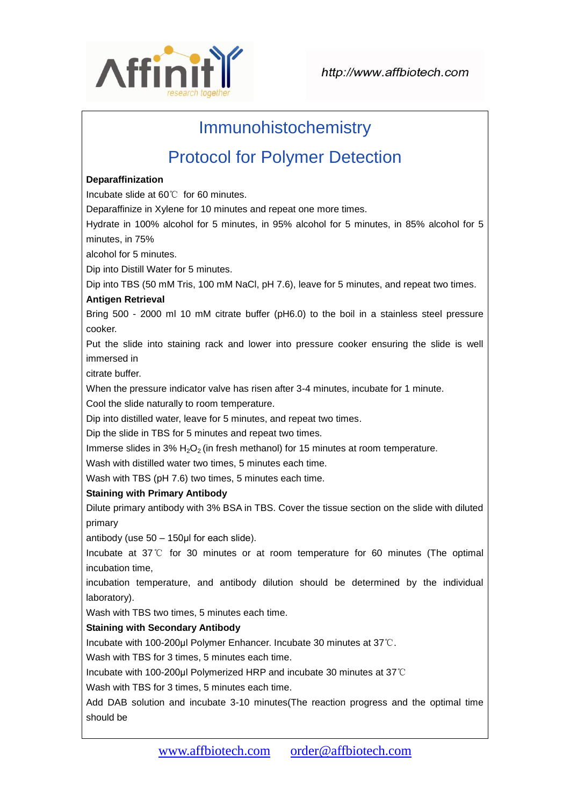

# Immunohistochemistry

# Protocol for Polymer Detection

#### **Deparaffinization**

Incubate slide at 60℃ for 60 minutes.

Deparaffinize in Xylene for 10 minutes and repeat one more times.

Hydrate in 100% alcohol for 5 minutes, in 95% alcohol for 5 minutes, in 85% alcohol for 5 minutes, in 75%

alcohol for 5 minutes.

Dip into Distill Water for 5 minutes.

Dip into TBS (50 mM Tris, 100 mM NaCl, pH 7.6), leave for 5 minutes, and repeat two times.

#### **Antigen Retrieval**

Bring 500 - 2000 ml 10 mM citrate buffer (pH6.0) to the boil in a stainless steel pressure cooker.

Put the slide into staining rack and lower into pressure cooker ensuring the slide is well immersed in

citrate buffer.

When the pressure indicator valve has risen after 3-4 minutes, incubate for 1 minute.

Cool the slide naturally to room temperature.

Dip into distilled water, leave for 5 minutes, and repeat two times.

Dip the slide in TBS for 5 minutes and repeat two times.

Immerse slides in 3%  $H_2O_2$  (in fresh methanol) for 15 minutes at room temperature.

Wash with distilled water two times, 5 minutes each time.

Wash with TBS (pH 7.6) two times, 5 minutes each time.

## **Staining with Primary Antibody**

Dilute primary antibody with 3% BSA in TBS. Cover the tissue section on the slide with diluted primary

antibody (use 50 – 150μl for each slide).

Incubate at 37℃ for 30 minutes or at room temperature for 60 minutes (The optimal incubation time,

incubation temperature, and antibody dilution should be determined by the individual laboratory).

Wash with TBS two times, 5 minutes each time.

## **Staining with Secondary Antibody**

Incubate with 100-200μl Polymer Enhancer. Incubate 30 minutes at 37℃.

Wash with TBS for 3 times, 5 minutes each time.

Incubate with 100-200μl Polymerized HRP and incubate 30 minutes at 37℃

Wash with TBS for 3 times, 5 minutes each time.

Add DAB solution and incubate 3-10 minutes(The reaction progress and the optimal time should be